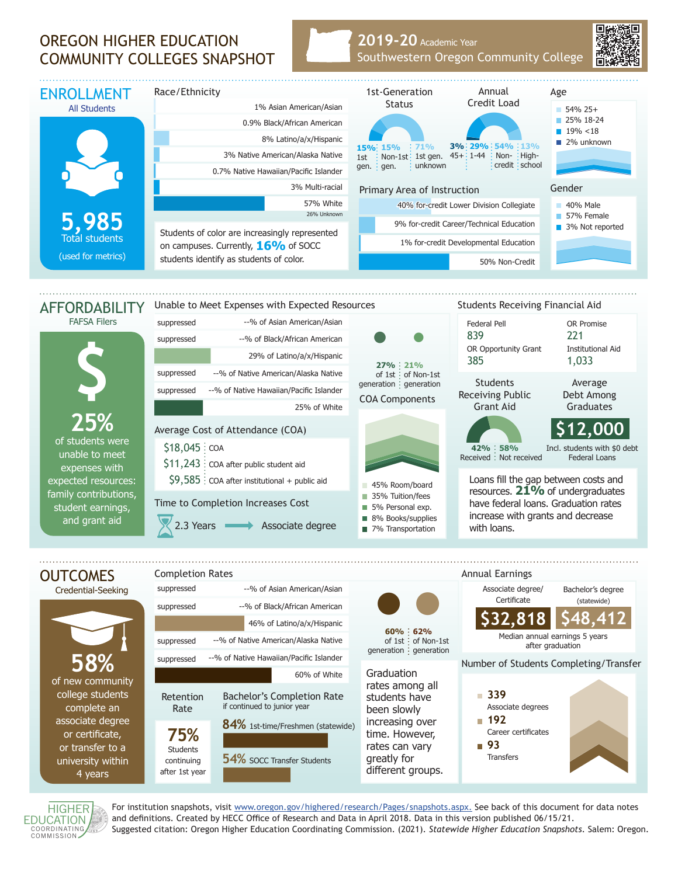## OREGON HIGHER EDUCATION COMMUNITY COLLEGES SNAPSHOT

## **2019-20** Academic Year Southwestern Oregon Community College



HIGHER **EDUCATION** COORDINATING<br>COMMISSION

4 years

after 1st year

For institution snapshots, visit www.oregon.gov/highered/research/Pages/snapshots.aspx. See back of this document for data notes and definitions. Created by HECC Office of Research and Data in April 2018. Data in this version published 06/15/21. Suggested citation: Oregon Higher Education Coordinating Commission. (2021). *Statewide Higher Education Snapshots*. Salem: Oregon.